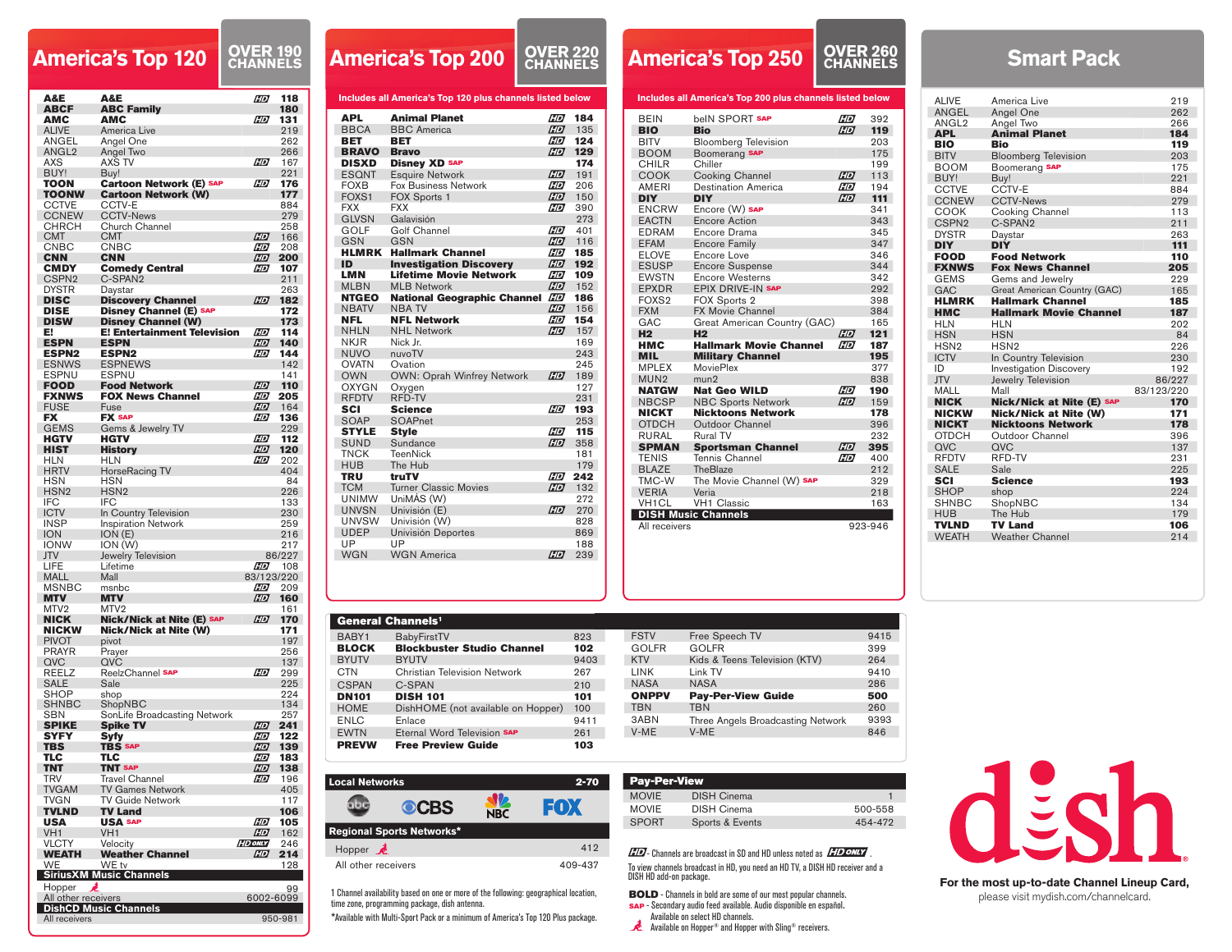|                                           | <b>America's Top 120</b>                                     | <b>OVER 190<br/>CHANNELS</b> |                   |                            | <b>America's Top 200</b>                                                             | <b>OVER 220<br/>CHANNELS</b> |                 |                                  | <b>America's Top 250</b>                                                       |           | <b>OVER 260<br/>CHANNELS</b> |                           | <b>Smart Pack</b>                              |
|-------------------------------------------|--------------------------------------------------------------|------------------------------|-------------------|----------------------------|--------------------------------------------------------------------------------------|------------------------------|-----------------|----------------------------------|--------------------------------------------------------------------------------|-----------|------------------------------|---------------------------|------------------------------------------------|
| A&E                                       | A&E                                                          | <b>ED</b>                    | 118               |                            | Includes all America's Top 120 plus channels listed below                            |                              |                 |                                  | Includes all America's Top 200 plus channels listed below                      |           |                              | <b>ALIVE</b>              | America Live                                   |
| <b>ABCF</b><br><b>AMC</b>                 | <b>ABC Family</b><br><b>AMC</b>                              | פוזו                         | 180<br>131        | <b>APL</b>                 | <b>Animal Planet</b>                                                                 |                              | <b>ED</b> 184   | <b>BEIN</b>                      | belN SPORT SAP                                                                 | ED        | 392                          | ANGEL                     | Angel One                                      |
| <b>ALIVE</b>                              | America Live                                                 |                              | 219               | <b>BBCA</b>                | <b>BBC</b> America                                                                   | $\sqrt{2}$                   | 135             | <b>BIO</b>                       | <b>Bio</b>                                                                     | <b>ID</b> | 119                          | ANGL <sub>2</sub>         | Angel Two                                      |
| ANGEL                                     | Angel One                                                    |                              | 262               | <b>BET</b>                 | BET                                                                                  |                              | $\sqrt{20}$ 124 | <b>BITV</b>                      | <b>Bloomberg Television</b>                                                    |           | 203                          | <b>APL</b><br><b>BIO</b>  | <b>Animal Planet</b><br>Bio                    |
| ANGL <sub>2</sub>                         | Angel Two                                                    |                              | 266               | <b>BRAVO</b>               | <b>Bravo</b>                                                                         | $\mathbb{Z}$                 | 129             | <b>BOOM</b>                      | Boomerang SAP                                                                  |           | 175                          | <b>BITV</b>               | <b>Bloomberg Television</b>                    |
| <b>AXS</b>                                | AXS TV                                                       | פוזו                         | 167               | <b>DISXD</b>               | <b>Disney XD SAP</b>                                                                 |                              | 174             | <b>CHILR</b>                     | Chiller                                                                        |           | 199                          | <b>BOOM</b>               | Boomerang SAP                                  |
| BUY!                                      | Buy!                                                         |                              | 221               | <b>ESQNT</b>               | <b>Esquire Network</b>                                                               | <b>ED</b>                    | 191             | <b>COOK</b>                      | Cooking Channel                                                                | ED        | 113                          | BUY!                      | Buy!                                           |
| <b>TOON</b><br><b>TOONW</b>               | <b>Cartoon Network (E) SAP</b><br><b>Cartoon Network (W)</b> | ED                           | 176<br>177        | <b>FOXB</b>                | Fox Business Network                                                                 | פון                          | 206             | AMERI                            | <b>Destination America</b>                                                     | ED        | 194                          | <b>CCTVE</b>              | CCTV-E                                         |
| <b>CCTVE</b>                              | CCTV-E                                                       |                              | 884               | FOXS1                      | FOX Sports 1                                                                         | <b>ED</b>                    | 150             | <b>DIY</b>                       | <b>DIY</b>                                                                     | <b>ED</b> | 111                          | <b>CCNEW</b>              | <b>CCTV-News</b>                               |
| <b>CCNEW</b>                              | <b>CCTV-News</b>                                             |                              | 279               | <b>FXX</b><br><b>GLVSN</b> | <b>FXX</b><br>Galavisión                                                             | <b>ED</b>                    | 390<br>273      | <b>ENCRW</b>                     | Encore (W) SAP                                                                 |           | 341                          | COOK                      | Cooking Channel                                |
| <b>CHRCH</b>                              | Church Channel                                               |                              | 258               | GOLF                       | Golf Channel                                                                         | <b>ED</b>                    | 401             | <b>EACTN</b><br><b>EDRAM</b>     | <b>Encore Action</b>                                                           |           | 343<br>345                   | CSPN <sub>2</sub>         | C-SPAN2                                        |
| <b>CMT</b>                                | <b>CMT</b>                                                   | ED                           | 166               | <b>GSN</b>                 | <b>GSN</b>                                                                           | $\sqrt{2}$                   | 116             | <b>EFAM</b>                      | Encore Drama<br><b>Encore Family</b>                                           |           | 347                          | <b>DYSTR</b>              | Daystar                                        |
| <b>CNBC</b>                               | <b>CNBC</b>                                                  | פש                           | 208               |                            | <b>HLMRK</b> Hallmark Channel                                                        | ED                           | 185             | <b>ELOVE</b>                     | Encore Love                                                                    |           | 346                          | <b>DIY</b><br><b>FOOD</b> | <b>DIY</b>                                     |
| <b>CNN</b><br><b>CMDY</b>                 | <b>CNN</b><br><b>Comedy Central</b>                          | $\mathbb{Z}$<br>ED           | 200<br>107        | ID                         | <b>Investigation Discovery</b>                                                       | 四                            | 192             | <b>ESUSP</b>                     | <b>Encore Suspense</b>                                                         |           | 344                          | <b>FXNWS</b>              | <b>Food Network</b><br><b>Fox News Channel</b> |
| CSPN <sub>2</sub>                         | C-SPAN2                                                      |                              | 211               | <b>LMN</b>                 | <b>Lifetime Movie Network</b>                                                        | ED                           | 109             | <b>EWSTN</b>                     | <b>Encore Westerns</b>                                                         |           | 342                          | <b>GEMS</b>               | Gems and Jewelry                               |
| <b>DYSTR</b>                              | Daystar                                                      |                              | 263               | <b>MLBN</b>                | <b>MLB Network</b>                                                                   | 四                            | 152             | <b>EPXDR</b>                     | EPIX DRIVE-IN SAP                                                              |           | 292                          | GAC                       | Great American Country (GAC                    |
| <b>DISC</b>                               | <b>Discovery Channel</b>                                     | $\mathbb{Z}$                 | 182               | <b>NTGEO</b>               | National Geographic Channel [77]                                                     |                              | 186             | FOXS <sub>2</sub>                | FOX Sports 2                                                                   |           | 398                          | <b>HLMRK</b>              | <b>Hallmark Channel</b>                        |
| <b>DISE</b>                               | <b>Disney Channel (E) SAP</b>                                |                              | 172               | <b>NBATV</b>               | <b>NBATV</b>                                                                         | <b>ED</b>                    | 156             | <b>FXM</b>                       | FX Movie Channel                                                               |           | 384                          | <b>HMC</b>                | <b>Hallmark Movie Channe</b>                   |
| <b>DISW</b>                               | <b>Disney Channel (W)</b>                                    |                              | 173               | <b>NFL</b>                 | <b>NFL Network</b>                                                                   | <b>ED</b><br><b>ED</b>       | 154             | GAC                              | Great American Country (GAC)                                                   |           | 165                          | <b>HLN</b>                | <b>HLN</b>                                     |
| E!<br><b>ESPN</b>                         | <b>E! Entertainment Television</b>                           | ED<br><b>III</b>             | 114               | <b>NHLN</b><br><b>NKJR</b> | <b>NHL Network</b><br>Nick Jr.                                                       |                              | 157<br>169      | H <sub>2</sub>                   | H2                                                                             | <b>ED</b> | 121                          | <b>HSN</b>                | <b>HSN</b>                                     |
| <b>ESPN2</b>                              | <b>ESPN</b><br><b>ESPN2</b>                                  | 四                            | 140<br>144        | <b>NUVO</b>                | nuvoTV                                                                               |                              | 243             | <b>HMC</b>                       | <b>Hallmark Movie Channel</b>                                                  | 60        | 187                          | HSN <sub>2</sub>          | HSN <sub>2</sub>                               |
| <b>ESNWS</b>                              | <b>ESPNEWS</b>                                               |                              | 142               | <b>OVATN</b>               | Ovation                                                                              |                              | 245             | <b>MIL</b>                       | <b>Military Channel</b>                                                        |           | 195                          | <b>ICTV</b>               | In Country Television                          |
| <b>ESPNU</b>                              | ESPNU                                                        |                              | 141               | <b>OWN</b>                 | OWN: Oprah Winfrey Network                                                           | <b>ED</b>                    | 189             | <b>MPLEX</b><br>MUN <sub>2</sub> | <b>MoviePlex</b><br>mun2                                                       |           | 377<br>838                   | ID<br><b>JTV</b>          | <b>Investigation Discovery</b>                 |
| <b>FOOD</b>                               | <b>Food Network</b>                                          | w                            | 110               | <b>OXYGN</b>               | Oxygen                                                                               |                              | 127             | <b>NATGW</b>                     | <b>Nat Geo WILD</b>                                                            | ED        | 190                          | <b>MALL</b>               | Jewelry Television<br>Mall                     |
| <b>FXNWS</b>                              | <b>FOX News Channel</b>                                      | <b>ED</b>                    | 205               | <b>RFDTV</b>               | RFD-TV                                                                               |                              | 231             | <b>NBCSP</b>                     | <b>NBC Sports Network</b>                                                      | <b>ED</b> | 159                          | <b>NICK</b>               | Nick/Nick at Nite (E) SAP                      |
| <b>FUSE</b>                               | Fuse                                                         | $\sqrt{2}$                   | 164               | <b>SCI</b>                 | <b>Science</b>                                                                       | ED                           | 193             | <b>NICKT</b>                     | <b>Nicktoons Network</b>                                                       |           | 178                          | <b>NICKW</b>              | Nick/Nick at Nite (W)                          |
| <b>FX</b><br><b>GEMS</b>                  | <b>FX SAP</b><br>Gems & Jewelry TV                           | פש                           | 136<br>229        | SOAP                       | <b>SOAPnet</b>                                                                       |                              | 253             | <b>OTDCH</b>                     | Outdoor Channel                                                                |           | 396                          | <b>NICKT</b>              | <b>Nicktoons Network</b>                       |
| <b>HGTV</b>                               | <b>HGTV</b>                                                  | פוזו                         | 112               | <b>STYLE</b>               | <b>Style</b>                                                                         | ED                           | 115             | <b>RURAL</b>                     | Rural TV                                                                       |           | 232                          | <b>OTDCH</b>              | Outdoor Channel                                |
| <b>HIST</b>                               | <b>History</b>                                               | $\sqrt{2}$                   | 120               | <b>SUND</b><br><b>TNCK</b> | Sundance<br><b>TeenNick</b>                                                          | <b>HD</b>                    | 358             | <b>SPMAN</b>                     | <b>Sportsman Channel</b>                                                       | <b>ED</b> | 395                          | QVC                       | QVC                                            |
| <b>HLN</b>                                | <b>HLN</b>                                                   | $\sqrt{2}$                   | 202               | <b>HUB</b>                 | The Hub                                                                              |                              | 181<br>179      | <b>TENIS</b>                     | Tennis Channel                                                                 | 四         | 400                          | <b>RFDTV</b>              | RFD-TV                                         |
| <b>HRTV</b>                               | HorseRacing TV                                               |                              | 404               | <b>TRU</b>                 | truTV                                                                                |                              | $\sqrt{20}$ 242 | <b>BLAZE</b>                     | TheBlaze                                                                       |           | 212                          | SALE                      | Sale                                           |
| <b>HSN</b>                                | <b>HSN</b>                                                   |                              | 84                | <b>TCM</b>                 | <b>Turner Classic Movies</b>                                                         | <b>ED</b>                    | 132             | TMC-W                            | The Movie Channel (W) SAP                                                      |           | 329                          | SCI<br><b>SHOP</b>        | <b>Science</b>                                 |
| HSN <sub>2</sub><br>IFC                   | HSN <sub>2</sub><br><b>IFC</b>                               |                              | 226<br>133        | <b>UNIMW</b>               | UniMAS (W)                                                                           |                              | 272             | <b>VERIA</b>                     | Veria                                                                          |           | 218                          | <b>SHNBC</b>              | shop<br>ShopNBC                                |
| <b>ICTV</b>                               | In Country Television                                        |                              | 230               | <b>UNVSN</b>               | Univisión (E)                                                                        | F                            | 270             | VH <sub>1</sub> CL               | VH1 Classic<br><b>DISH Music Channels</b>                                      |           | 163                          | <b>HUB</b>                | The Hub                                        |
| <b>INSP</b>                               | <b>Inspiration Network</b>                                   |                              | 259               | <b>UNVSW</b>               | Univisión (W)                                                                        |                              | 828             | All receivers                    |                                                                                |           | 923-946                      | <b>TVLND</b>              | <b>TV Land</b>                                 |
| <b>ION</b>                                | ION(E)                                                       |                              | 216               | <b>UDEP</b>                | Univisión Deportes                                                                   |                              | 869             |                                  |                                                                                |           |                              | <b>WEATH</b>              | Weather Channel                                |
| <b>IONW</b>                               | ION (W)                                                      |                              | 217               | UP                         | UP                                                                                   |                              | 188             |                                  |                                                                                |           |                              |                           |                                                |
| <b>JTV</b>                                | Jewelry Television                                           |                              | 86/227            | <b>WGN</b>                 | <b>WGN</b> America                                                                   |                              | $\sqrt{2}$ 239  |                                  |                                                                                |           |                              |                           |                                                |
| <b>LIFE</b><br><b>MALL</b>                | Lifetime<br>Mall                                             | lid.                         | 108<br>83/123/220 |                            |                                                                                      |                              |                 |                                  |                                                                                |           |                              |                           |                                                |
| <b>MSNBC</b>                              | msnbc                                                        | <b>ED</b>                    | 209               |                            |                                                                                      |                              |                 |                                  |                                                                                |           |                              |                           |                                                |
| <b>MTV</b>                                | <b>MTV</b>                                                   | <b>ID</b>                    | 160               |                            |                                                                                      |                              |                 |                                  |                                                                                |           |                              |                           |                                                |
| MTV2                                      | MTV <sub>2</sub>                                             |                              | 161               |                            |                                                                                      |                              |                 |                                  |                                                                                |           |                              |                           |                                                |
| <b>NICK</b>                               | <b>Nick/Nick at Nite (E) SAP</b>                             | <b>ED</b>                    | 170               |                            | <b>General Channels<sup>1</sup></b>                                                  |                              |                 |                                  |                                                                                |           |                              |                           |                                                |
| <b>NICKW</b>                              | Nick/Nick at Nite (W)                                        |                              | 171               | BABY1                      | BabyFirstTV                                                                          |                              | 823             | <b>FSTV</b>                      | Free Speech TV                                                                 |           | 9415                         |                           |                                                |
| <b>PIVOT</b><br><b>PRAYR</b>              | pivot                                                        |                              | 197<br>256        | <b>BLOCK</b>               | <b>Blockbuster Studio Channel</b>                                                    |                              | 102             | <b>GOLFR</b>                     | <b>GOLFR</b>                                                                   |           | 399                          |                           |                                                |
| QVC                                       | Prayer<br>QVC                                                |                              | 137               | <b>BYUTV</b>               | <b>BYUTV</b>                                                                         |                              | 9403            | KTV                              | Kids & Teens Television (KTV)                                                  |           | 264                          |                           |                                                |
| REELZ                                     | ReelzChannel SAP                                             | פוזו                         | 299               | <b>CTN</b>                 | Christian Television Network                                                         |                              | 267             | LINK                             | Link TV                                                                        |           | 9410                         |                           |                                                |
| <b>SALE</b>                               | Sale                                                         |                              | 225               | <b>CSPAN</b>               | C-SPAN                                                                               |                              | 210             | <b>NASA</b>                      | <b>NASA</b>                                                                    |           | 286                          |                           |                                                |
| <b>SHOP</b>                               | shop                                                         |                              | 224               | <b>DN101</b>               | <b>DISH 101</b>                                                                      |                              | 101             | <b>ONPPV</b>                     | <b>Pay-Per-View Guide</b>                                                      |           | 500                          |                           |                                                |
| <b>SHNBC</b>                              | ShopNBC                                                      |                              | 134               | <b>HOME</b>                | DishHOME (not available on Hopper)                                                   |                              | 100             | <b>TBN</b>                       | <b>TBN</b>                                                                     |           | 260                          |                           |                                                |
| SBN<br><b>SPIKE</b>                       | SonLife Broadcasting Network                                 | <b>ED</b>                    | 257<br>241        | <b>ENLC</b>                | Enlace                                                                               |                              | 9411            | 3ABN                             | Three Angels Broadcasting Network                                              |           | 9393                         |                           |                                                |
| <b>SYFY</b>                               | <b>Spike TV</b><br><b>Syfy</b>                               | 四                            | 122               | <b>EWTN</b>                | Eternal Word Television SAP                                                          |                              | 261             | V-ME                             | $V-ME$                                                                         |           | 846                          |                           |                                                |
| <b>TBS</b>                                | <b>TBS SAP</b>                                               | œ                            | 139               | <b>PREVW</b>               | <b>Free Preview Guide</b>                                                            |                              | 103             |                                  |                                                                                |           |                              |                           |                                                |
| <b>TLC</b>                                | <b>TLC</b>                                                   | 60                           | 183               |                            |                                                                                      |                              |                 |                                  |                                                                                |           |                              |                           |                                                |
| <b>TNT</b>                                | <b>TNT SAP</b>                                               | lid -                        | 138               |                            |                                                                                      |                              |                 |                                  |                                                                                |           |                              |                           |                                                |
| <b>TRV</b>                                | <b>Travel Channel</b>                                        | פש                           | 196               | <b>Local Networks</b>      |                                                                                      |                              | $2 - 70$        | <b>Pay-Per-View</b>              |                                                                                |           |                              |                           |                                                |
| <b>TVGAM</b>                              | <b>TV Games Network</b>                                      |                              | 405               |                            |                                                                                      |                              |                 | <b>MOVIE</b>                     | <b>DISH Cinema</b>                                                             |           | 1                            |                           | dES                                            |
| <b>TVGN</b><br><b>TVLND</b>               | <b>TV Guide Network</b><br><b>TV Land</b>                    |                              | 117<br>106        | abe                        | NBC<br><b>©CBS</b>                                                                   | <b>FOX</b>                   |                 | <b>MOVIE</b>                     | <b>DISH Cinema</b>                                                             |           | 500-558                      |                           |                                                |
| <b>USA</b>                                | <b>USA SAP</b>                                               | פש                           | 105               |                            |                                                                                      |                              |                 | <b>SPORT</b>                     | Sports & Events                                                                |           | 454-472                      |                           |                                                |
| VH <sub>1</sub>                           | VH <sub>1</sub>                                              | $\mathbb{Z}$                 | 162               |                            | Regional Sports Networks*                                                            |                              |                 |                                  |                                                                                |           |                              |                           |                                                |
| <b>VLCTY</b>                              | Velocity                                                     | <b>HD ONLY</b>               | 246               |                            |                                                                                      |                              | 412             |                                  |                                                                                |           |                              |                           |                                                |
| <b>WEATH</b>                              | <b>Weather Channel</b>                                       | <b>ED</b>                    | 214               | Hopper $\triangle$         |                                                                                      |                              |                 |                                  | <b>ED</b> - Channels are broadcast in SD and HD unless noted as <b>FD ONLY</b> |           |                              |                           |                                                |
| <b>WE</b>                                 | WE tv                                                        |                              | 128               | All other receivers        |                                                                                      |                              | 409-437         |                                  | To view channels broadcast in HD, you need an HD TV, a DISH HD receiver and a  |           |                              |                           |                                                |
|                                           | <b>SiriusXM Music Channels</b>                               |                              |                   |                            |                                                                                      |                              |                 | DISH HD add-on package.          |                                                                                |           |                              |                           | For the most up-to-date Channel                |
| Hopper $\triangle$<br>All other receivers |                                                              |                              | 99<br>6002-6099   |                            | 1 Channel availability based on one or more of the following: geographical location. |                              |                 |                                  | <b>BOLD</b> - Channels in bold are some of our most popular channels.          |           |                              |                           | please visit mydish.com/chann                  |
|                                           | <b>DishCD Music Channels</b>                                 |                              |                   |                            | time zone, programming package, dish antenna.                                        |                              |                 |                                  | <b>SAP</b> - Secondary audio feed available. Audio disponible en español.      |           |                              |                           |                                                |
| All receivers                             |                                                              |                              | 950-981           |                            | *Available with Multi-Sport Pack or a minimum of America's Top 120 Plus package.     |                              |                 |                                  | Available on select HD channels.                                               |           |                              |                           |                                                |

|                              | <b>America's Top 200</b>                                  | <b>OVER 220<br/>CHANNELS</b> |            |
|------------------------------|-----------------------------------------------------------|------------------------------|------------|
|                              | Includes all America's Top 120 plus channels listed below |                              |            |
| <b>APL</b>                   | Animal Planet                                             | œ                            | 184        |
| <b>BBCA</b>                  | <b>BBC</b> America                                        | פוזו                         | 135        |
| <b>BET</b>                   | <b>BET</b>                                                | <b>ED</b><br><b>ED</b>       | 124        |
| <b>BRAVO</b><br><b>DISXD</b> | <b>Bravo</b><br><b>Disney XD SAP</b>                      |                              | 129<br>174 |
| <b>ESQNT</b>                 | <b>Esquire Network</b>                                    | פוזו                         | 191        |
| <b>FOXB</b>                  | <b>Fox Business Network</b>                               | 60                           | 206        |
| FOXS <sub>1</sub>            | FOX Sports 1                                              | <b>ED</b>                    | 150        |
| <b>FXX</b>                   | <b>FXX</b>                                                | ÆD                           | 390        |
| <b>GLVSN</b>                 | Galavisión                                                |                              | 273        |
| GOLF                         | Golf Channel                                              | פוז                          | 401        |
| GSN                          | <b>GSN</b>                                                | m                            | 116        |
| <b>HLMRK</b>                 | <b>Hallmark Channel</b>                                   | פוזו                         | 185        |
| ID                           | <b>Investigation Discoverv</b>                            | <b>ED</b>                    | 192        |
| <b>LMN</b>                   | <b>Lifetime Movie Network</b>                             | FD                           | 109        |
| <b>MLBN</b>                  | <b>MLB Network</b>                                        | פיז                          | 152        |
| <b>NTGEO</b>                 | <b>National Geographic Channel</b>                        | <b>ED</b>                    | 186        |
| <b>NBATV</b>                 | <b>NBA TV</b>                                             | $\sqrt{2}$                   | 156        |
| <b>NFL</b>                   | <b>NFL Network</b>                                        | m                            | 154        |
| <b>NHLN</b>                  | <b>NHL Network</b>                                        | <b>ED</b>                    | 157        |
| <b>NKJR</b>                  | Nick Jr.                                                  |                              | 169        |
| <b>NUVO</b>                  | nuvoTV                                                    |                              | 243        |
| <b>OVATN</b>                 | Ovation                                                   |                              | 245        |
| <b>OWN</b>                   | <b>OWN: Oprah Winfrey Network</b>                         | <b>ED</b>                    | 189        |
| OXYGN                        | Oxygen                                                    |                              | 127        |
| <b>RFDTV</b>                 | RFD-TV                                                    |                              | 231        |
| SCI                          | Science                                                   | פוזו                         | 193        |
| SOAP                         | <b>SOAPnet</b>                                            |                              | 253        |
| <b>STYLE</b>                 | <b>Style</b>                                              | FD.                          | 115        |
| <b>SUND</b>                  | Sundance                                                  | 60                           | 358        |
| <b>TNCK</b>                  | <b>TeenNick</b>                                           |                              | 181        |
| <b>HUB</b>                   | The Hub                                                   |                              | 179        |
| TRU                          | truTV                                                     | m                            | 242        |
| <b>TCM</b>                   | <b>Turner Classic Movies</b>                              | m                            | 132        |
| <b>UNIMW</b>                 | UniMÁS (W)                                                |                              | 272        |
| <b>UNVSN</b>                 | Univisión (E)                                             | פיז                          | 270        |
| <b>UNVSW</b>                 | Univisión (W)                                             |                              | 828        |
| <b>UDEP</b>                  | Univisión Deportes                                        |                              | 869        |
| UP                           | UP                                                        |                              | 188        |
| <b>WGN</b>                   | <b>WGN America</b>                                        | <b>ED</b>                    | 239        |

|                   | Includes all America's Top 120 plus channels listed below |            |     |
|-------------------|-----------------------------------------------------------|------------|-----|
| <b>APL</b>        | <b>Animal Planet</b>                                      | rd.        | 184 |
| <b>BBCA</b>       | <b>BBC</b> America                                        | $\sqrt{2}$ | 135 |
| <b>BET</b>        | <b>BET</b>                                                | F          | 124 |
| <b>BRAVO</b>      | <b>Bravo</b>                                              | $\sqrt{2}$ | 129 |
| <b>DISXD</b>      | <b>Disney XD SAP</b>                                      |            | 174 |
| <b>ESQNT</b>      | <b>Esquire Network</b>                                    | 60         | 191 |
| <b>FOXB</b>       | <b>Fox Business Network</b>                               | 60         | 206 |
| FOXS <sub>1</sub> | FOX Sports 1                                              | <b>ED</b>  | 150 |
| <b>FXX</b>        | <b>FXX</b>                                                | <b>ED</b>  | 390 |
| <b>GLVSN</b>      | Galavisión                                                |            | 273 |
| GOLF              | Golf Channel                                              | פוזו       | 401 |
| <b>GSN</b>        | <b>GSN</b>                                                | 60         | 116 |
|                   | <b>HLMRK</b> Hallmark Channel                             | <b>ED</b>  | 185 |
| ID                | <b>Investigation Discovery</b>                            | <b>ED</b>  | 192 |
| <b>LMN</b>        | <b>Lifetime Movie Network</b>                             | FD         | 109 |
| <b>MLBN</b>       | <b>MLB Network</b>                                        | $\sqrt{2}$ | 152 |
| <b>NTGEO</b>      | <b>National Geographic Channel</b>                        | 1:10       | 186 |
| <b>NBATV</b>      | <b>NBA TV</b>                                             | m          | 156 |
| <b>NFL</b>        | <b>NFL Network</b>                                        | <b>ED</b>  | 154 |
| <b>NHLN</b>       | <b>NHL Network</b>                                        | $\sqrt{2}$ | 157 |
| <b>NKJR</b>       | Nick Jr.                                                  |            | 169 |
| <b>NUVO</b>       | nuvoTV                                                    |            | 243 |
| <b>OVATN</b>      | Ovation                                                   |            | 245 |
| <b>OWN</b>        | OWN: Oprah Winfrey Network                                | <b>ED</b>  | 189 |
| <b>OXYGN</b>      | Oxygen                                                    |            | 127 |
| <b>RFDTV</b>      | RFD-TV                                                    |            | 231 |
| <b>SCI</b>        | <b>Science</b>                                            | <b>ED</b>  | 193 |
| SOAP              | <b>SOAPnet</b>                                            |            | 253 |
| <b>STYLE</b>      | <b>Style</b>                                              | FD 1       | 115 |
| <b>SUND</b>       | Sundance                                                  | <b>ED</b>  | 358 |
| <b>TNCK</b>       | <b>TeenNick</b>                                           |            | 181 |
| <b>HUB</b>        | The Hub                                                   |            | 179 |
| TRU               | truTV                                                     | ED.        | 242 |
| <b>TCM</b>        | <b>Turner Classic Movies</b>                              | m          | 132 |
| <b>UNIMW</b>      | UniMÁS (W)                                                |            | 272 |
| <b>UNVSN</b>      | Univisión (E)                                             | <b>ED</b>  | 270 |
| <b>UNVSW</b>      | Univisión (W)                                             |            | 828 |
| <b>UDEP</b>       | Univisión Deportes                                        |            | 869 |
| UP                | UP                                                        |            | 188 |
| <b>WGN</b>        | <b>WGN America</b>                                        | <b>ED</b>  | 239 |

| 11161192     |  |
|--------------|--|
| America Live |  |

| <b>ALIVE</b>      | America Live                   | 219        |
|-------------------|--------------------------------|------------|
| ANGEL             | Angel One                      | 262        |
| ANGL2             | Angel Two                      | 266        |
| <b>APL</b>        | <b>Animal Planet</b>           | 184        |
| BIO               | Bio                            | 119        |
| <b>BITV</b>       | <b>Bloomberg Television</b>    | 203        |
| BOOM              | Boomerang SAP                  | 175        |
| BUY!              | Buy!                           | 221        |
| <b>CCTVE</b>      | CCTV-E                         | 884        |
| <b>CCNEW</b>      | <b>CCTV-News</b>               | 279        |
| COOK              | Cooking Channel                | 113        |
| CSPN <sub>2</sub> | C-SPAN2                        | 211        |
| DYSTR             | Daystar                        | 263        |
| DIY               | <b>DIY</b>                     | 111        |
| FOOD              | <b>Food Network</b>            | 110        |
| <b>FXNWS</b>      | <b>Fox News Channel</b>        | 205        |
| GEMS              | Gems and Jewelry               | 229        |
| GAC               | Great American Country (GAC)   | 165        |
| <b>HLMRK</b>      | <b>Hallmark Channel</b>        | 185        |
| нмс               | <b>Hallmark Movie Channel</b>  | 187        |
| <b>HLN</b>        | <b>HLN</b>                     | 202        |
| <b>HSN</b>        | <b>HSN</b>                     | 84         |
| HSN <sub>2</sub>  | HSN <sub>2</sub>               | 226        |
| <b>ICTV</b>       | In Country Television          | 230        |
| ID                | <b>Investigation Discovery</b> | 192        |
| <b>JTV</b>        | <b>Jewelry Television</b>      | 86/227     |
| MALL              | Mall                           | 83/123/220 |
| <b>NICK</b>       | Nick/Nick at Nite (E) SAP      | 170        |
| <b>NICKW</b>      | <b>Nick/Nick at Nite (W)</b>   | 171        |
| <b>NICKT</b>      | <b>Nicktoons Network</b>       | 178        |
| <b>OTDCH</b>      | Outdoor Channel                | 396        |
| QVC               | QVC                            | 137        |
| <b>RFDTV</b>      | RFD-TV                         | 231        |
| <b>SALE</b>       | Sale                           | 225        |
| SCI               | <b>Science</b>                 | 193        |
| <b>SHOP</b>       | shop                           | 224        |
| <b>SHNBC</b>      | ShopNBC                        | 134        |
| HUB               | The Hub                        | 179        |
| <b>TVLND</b>      | <b>TV Land</b>                 | 106        |
| <b>WEATH</b>      | <b>Weather Channel</b>         | 214        |

| General Channels <sup>1</sup> |                                    |      |              |                                   |      |
|-------------------------------|------------------------------------|------|--------------|-----------------------------------|------|
| BABY1                         | <b>BabyFirstTV</b>                 | 823  | <b>FSTV</b>  | Free Speech TV                    | 9415 |
| BLOCK                         | <b>Blockbuster Studio Channel</b>  | 102  | <b>GOLFR</b> | <b>GOLFR</b>                      | 399  |
| <b>BYUTV</b>                  | <b>BYUTV</b>                       | 9403 | <b>KTV</b>   | Kids & Teens Television (KTV)     | 264  |
| CTN                           | Christian Television Network       | 267  | <b>LINK</b>  | Link TV                           | 9410 |
| <b>CSPAN</b>                  | C-SPAN                             | 210  | <b>NASA</b>  | <b>NASA</b>                       | 286  |
| <b>DN101</b>                  | <b>DISH 101</b>                    | 101  | <b>ONPPV</b> | <b>Pay-Per-View Guide</b>         | 500  |
| <b>HOME</b>                   | DishHOME (not available on Hopper) | 100  | <b>TBN</b>   | <b>TBN</b>                        | 260  |
| ENLC                          | Enlace                             | 9411 | 3ABN         | Three Angels Broadcasting Network | 9393 |
| <b>EWTN</b>                   | Eternal Word Television SAP        | 261  | V-ME         | V-ME                              | 846  |
| <b>DDFVW</b>                  | Free Dreview Guide                 | 103  |              |                                   |      |

| <b>Local Networks</b><br>$2 - 70$ |                                  |  |         |  |  |  |
|-----------------------------------|----------------------------------|--|---------|--|--|--|
|                                   | <b>OCBS</b>                      |  | EOX     |  |  |  |
|                                   | <b>Regional Sports Networks*</b> |  |         |  |  |  |
| Hopper $\triangle$                |                                  |  | 412     |  |  |  |
| All other receivers               |                                  |  | 409-437 |  |  |  |

\*Available with Multi-Sport Pack or a minimum of America's Top 120 Plus package.

#### Pay-Per-View MOVIE DISH Cinema 1 MOVIE DISH Cinema 500-558<br>SPORT Sports & Events 454-472 SPORT Sports & Events

Available on Hopper® and Hopper with Sling® receivers.



**For the most up-to-date Channel Lineup Card,** please visit mydish.com/channelcard.